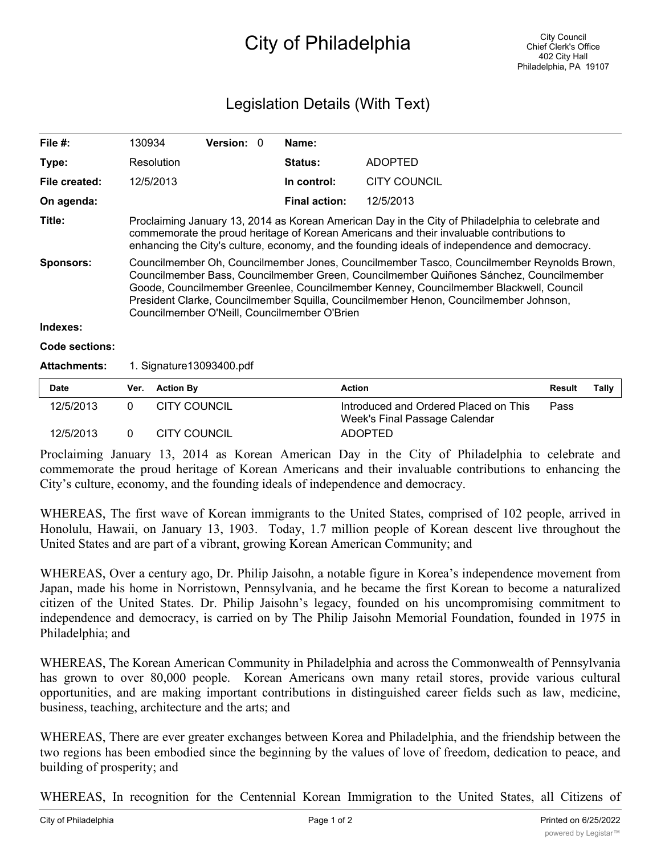## City of Philadelphia

## Legislation Details (With Text)

| File #:        | 130934                                                                                                                                                                                                                                                                                                                                                                                                               | <b>Version: 0</b> |  | Name:                |                     |  |  |  |
|----------------|----------------------------------------------------------------------------------------------------------------------------------------------------------------------------------------------------------------------------------------------------------------------------------------------------------------------------------------------------------------------------------------------------------------------|-------------------|--|----------------------|---------------------|--|--|--|
| Type:          | Resolution                                                                                                                                                                                                                                                                                                                                                                                                           |                   |  | Status:              | <b>ADOPTED</b>      |  |  |  |
| File created:  | 12/5/2013                                                                                                                                                                                                                                                                                                                                                                                                            |                   |  | In control:          | <b>CITY COUNCIL</b> |  |  |  |
| On agenda:     |                                                                                                                                                                                                                                                                                                                                                                                                                      |                   |  | <b>Final action:</b> | 12/5/2013           |  |  |  |
| Title:         | Proclaiming January 13, 2014 as Korean American Day in the City of Philadelphia to celebrate and<br>commemorate the proud heritage of Korean Americans and their invaluable contributions to<br>enhancing the City's culture, economy, and the founding ideals of independence and democracy.                                                                                                                        |                   |  |                      |                     |  |  |  |
| Sponsors:      | Councilmember Oh, Councilmember Jones, Councilmember Tasco, Councilmember Reynolds Brown,<br>Councilmember Bass, Councilmember Green, Councilmember Quiñones Sánchez, Councilmember<br>Goode, Councilmember Greenlee, Councilmember Kenney, Councilmember Blackwell, Council<br>President Clarke, Councilmember Squilla, Councilmember Henon, Councilmember Johnson,<br>Councilmember O'Neill, Councilmember O'Brien |                   |  |                      |                     |  |  |  |
| Indexes:       |                                                                                                                                                                                                                                                                                                                                                                                                                      |                   |  |                      |                     |  |  |  |
| Code sections: |                                                                                                                                                                                                                                                                                                                                                                                                                      |                   |  |                      |                     |  |  |  |

## **Attachments:** 1. Signature13093400.pdf

| <b>Date</b> | Ver. Action By      | <b>Action</b>                                                          | Result | Tally |
|-------------|---------------------|------------------------------------------------------------------------|--------|-------|
| 12/5/2013   | <b>CITY COUNCIL</b> | Introduced and Ordered Placed on This<br>Week's Final Passage Calendar | Pass   |       |
| 12/5/2013   | CITY COUNCIL        | <b>ADOPTED</b>                                                         |        |       |

Proclaiming January 13, 2014 as Korean American Day in the City of Philadelphia to celebrate and commemorate the proud heritage of Korean Americans and their invaluable contributions to enhancing the City's culture, economy, and the founding ideals of independence and democracy.

WHEREAS, The first wave of Korean immigrants to the United States, comprised of 102 people, arrived in Honolulu, Hawaii, on January 13, 1903. Today, 1.7 million people of Korean descent live throughout the United States and are part of a vibrant, growing Korean American Community; and

WHEREAS, Over a century ago, Dr. Philip Jaisohn, a notable figure in Korea's independence movement from Japan, made his home in Norristown, Pennsylvania, and he became the first Korean to become a naturalized citizen of the United States. Dr. Philip Jaisohn's legacy, founded on his uncompromising commitment to independence and democracy, is carried on by The Philip Jaisohn Memorial Foundation, founded in 1975 in Philadelphia; and

WHEREAS, The Korean American Community in Philadelphia and across the Commonwealth of Pennsylvania has grown to over 80,000 people. Korean Americans own many retail stores, provide various cultural opportunities, and are making important contributions in distinguished career fields such as law, medicine, business, teaching, architecture and the arts; and

WHEREAS, There are ever greater exchanges between Korea and Philadelphia, and the friendship between the two regions has been embodied since the beginning by the values of love of freedom, dedication to peace, and building of prosperity; and

WHEREAS, In recognition for the Centennial Korean Immigration to the United States, all Citizens of